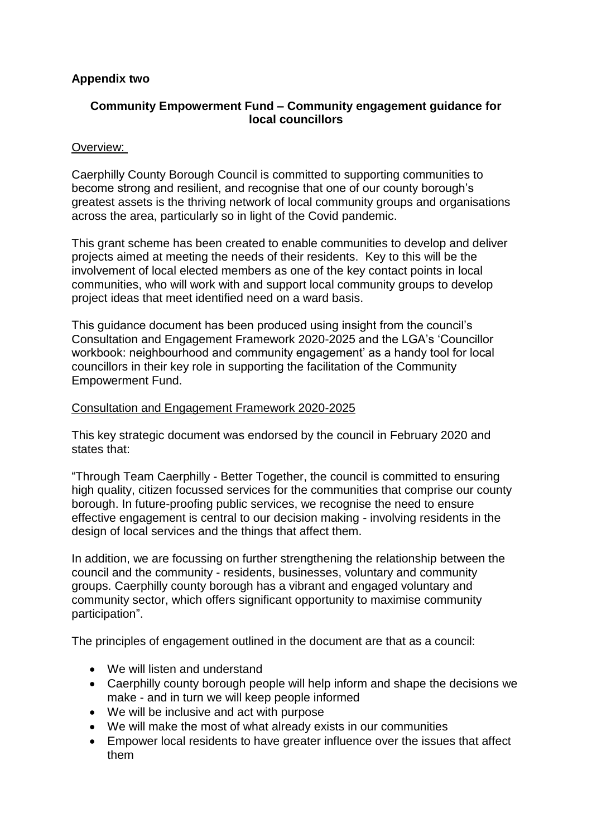# **Appendix two**

# **Community Empowerment Fund – Community engagement guidance for local councillors**

## Overview:

Caerphilly County Borough Council is committed to supporting communities to become strong and resilient, and recognise that one of our county borough's greatest assets is the thriving network of local community groups and organisations across the area, particularly so in light of the Covid pandemic.

This grant scheme has been created to enable communities to develop and deliver projects aimed at meeting the needs of their residents. Key to this will be the involvement of local elected members as one of the key contact points in local communities, who will work with and support local community groups to develop project ideas that meet identified need on a ward basis.

This guidance document has been produced using insight from the council's Consultation and Engagement Framework 2020-2025 and the LGA's 'Councillor workbook: neighbourhood and community engagement' as a handy tool for local councillors in their key role in supporting the facilitation of the Community Empowerment Fund.

### Consultation and Engagement Framework 2020-2025

This key strategic document was endorsed by the council in February 2020 and states that:

"Through Team Caerphilly - Better Together, the council is committed to ensuring high quality, citizen focussed services for the communities that comprise our county borough. In future-proofing public services, we recognise the need to ensure effective engagement is central to our decision making - involving residents in the design of local services and the things that affect them.

In addition, we are focussing on further strengthening the relationship between the council and the community - residents, businesses, voluntary and community groups. Caerphilly county borough has a vibrant and engaged voluntary and community sector, which offers significant opportunity to maximise community participation".

The principles of engagement outlined in the document are that as a council:

- We will listen and understand
- Caerphilly county borough people will help inform and shape the decisions we make - and in turn we will keep people informed
- We will be inclusive and act with purpose
- We will make the most of what already exists in our communities
- Empower local residents to have greater influence over the issues that affect them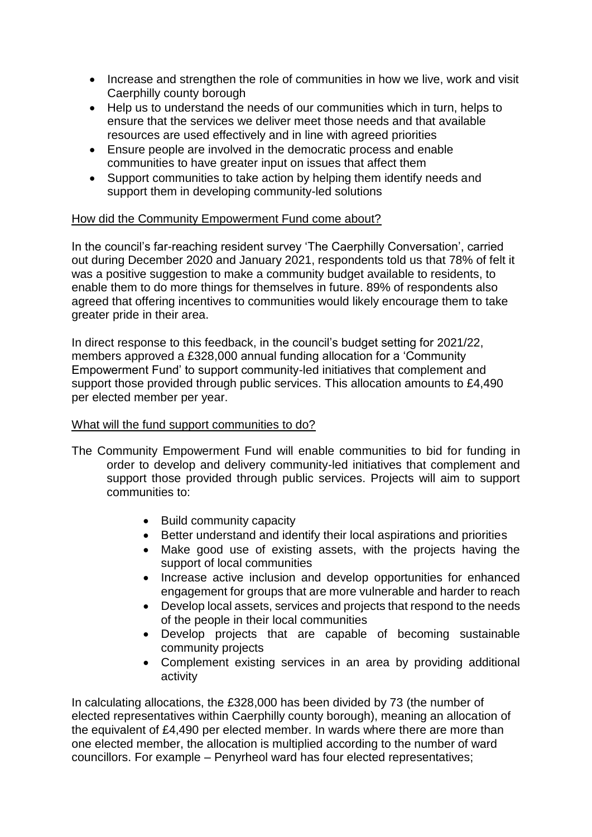- Increase and strengthen the role of communities in how we live, work and visit Caerphilly county borough
- Help us to understand the needs of our communities which in turn, helps to ensure that the services we deliver meet those needs and that available resources are used effectively and in line with agreed priorities
- Ensure people are involved in the democratic process and enable communities to have greater input on issues that affect them
- Support communities to take action by helping them identify needs and support them in developing community-led solutions

## How did the Community Empowerment Fund come about?

In the council's far-reaching resident survey 'The Caerphilly Conversation', carried out during December 2020 and January 2021, respondents told us that 78% of felt it was a positive suggestion to make a community budget available to residents, to enable them to do more things for themselves in future. 89% of respondents also agreed that offering incentives to communities would likely encourage them to take greater pride in their area.

In direct response to this feedback, in the council's budget setting for 2021/22, members approved a £328,000 annual funding allocation for a 'Community Empowerment Fund' to support community-led initiatives that complement and support those provided through public services. This allocation amounts to £4,490 per elected member per year.

### What will the fund support communities to do?

- The Community Empowerment Fund will enable communities to bid for funding in order to develop and delivery community-led initiatives that complement and support those provided through public services. Projects will aim to support communities to:
	- Build community capacity
	- Better understand and identify their local aspirations and priorities
	- Make good use of existing assets, with the projects having the support of local communities
	- Increase active inclusion and develop opportunities for enhanced engagement for groups that are more vulnerable and harder to reach
	- Develop local assets, services and projects that respond to the needs of the people in their local communities
	- Develop projects that are capable of becoming sustainable community projects
	- Complement existing services in an area by providing additional activity

In calculating allocations, the £328,000 has been divided by 73 (the number of elected representatives within Caerphilly county borough), meaning an allocation of the equivalent of £4,490 per elected member. In wards where there are more than one elected member, the allocation is multiplied according to the number of ward councillors. For example – Penyrheol ward has four elected representatives;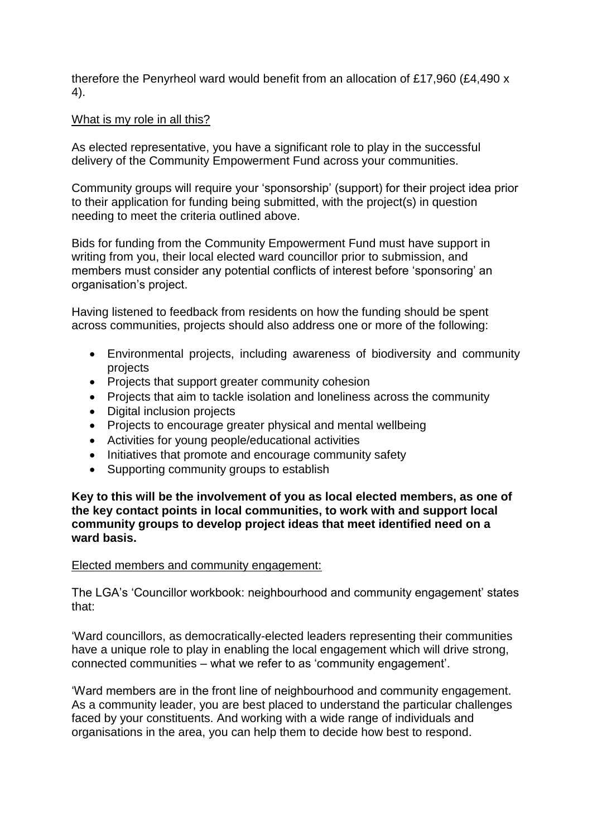therefore the Penyrheol ward would benefit from an allocation of £17,960 (£4,490 x 4).

#### What is my role in all this?

As elected representative, you have a significant role to play in the successful delivery of the Community Empowerment Fund across your communities.

Community groups will require your 'sponsorship' (support) for their project idea prior to their application for funding being submitted, with the project(s) in question needing to meet the criteria outlined above.

Bids for funding from the Community Empowerment Fund must have support in writing from you, their local elected ward councillor prior to submission, and members must consider any potential conflicts of interest before 'sponsoring' an organisation's project.

Having listened to feedback from residents on how the funding should be spent across communities, projects should also address one or more of the following:

- Environmental projects, including awareness of biodiversity and community projects
- Projects that support greater community cohesion
- Projects that aim to tackle isolation and loneliness across the community
- Digital inclusion projects
- Projects to encourage greater physical and mental wellbeing
- Activities for young people/educational activities
- Initiatives that promote and encourage community safety
- Supporting community groups to establish

**Key to this will be the involvement of you as local elected members, as one of the key contact points in local communities, to work with and support local community groups to develop project ideas that meet identified need on a ward basis.**

#### Elected members and community engagement:

The LGA's 'Councillor workbook: neighbourhood and community engagement' states that:

'Ward councillors, as democratically-elected leaders representing their communities have a unique role to play in enabling the local engagement which will drive strong. connected communities – what we refer to as 'community engagement'.

'Ward members are in the front line of neighbourhood and community engagement. As a community leader, you are best placed to understand the particular challenges faced by your constituents. And working with a wide range of individuals and organisations in the area, you can help them to decide how best to respond.